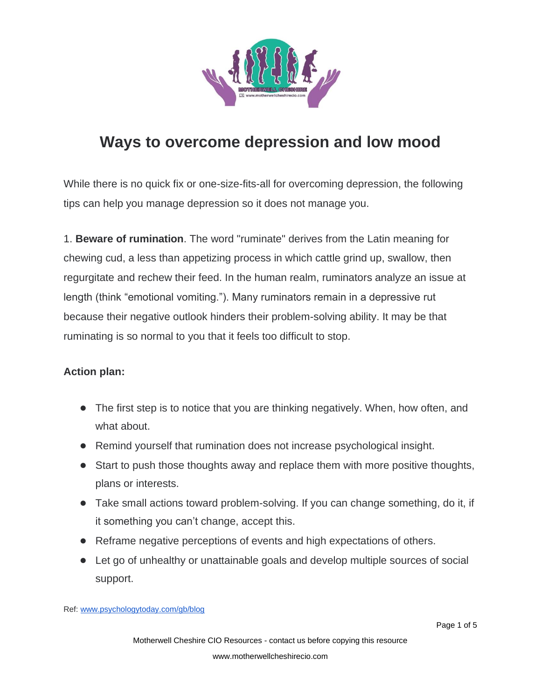

## **Ways to overcome depression and low mood**

While there is no quick fix or one-size-fits-all for overcoming depression, the following tips can help you manage depression so it does not manage you.

1. **Beware of rumination**. The word "ruminate" derives from the Latin meaning for chewing cud, a less than appetizing process in which cattle grind up, swallow, then regurgitate and rechew their feed. In the human realm, ruminators analyze an issue at length (think "emotional vomiting."). Many ruminators remain in a depressive rut because their negative outlook hinders their problem-solving ability. It may be that ruminating is so normal to you that it feels too difficult to stop.

## **Action plan:**

- The first step is to notice that you are thinking negatively. When, how often, and what about.
- Remind yourself that rumination does not increase psychological insight.
- Start to push those thoughts away and replace them with more positive thoughts, plans or interests.
- Take small actions toward problem-solving. If you can change something, do it, if it something you can't change, accept this.
- Reframe negative perceptions of events and high expectations of others.
- Let go of unhealthy or unattainable goals and develop multiple sources of social support.

Ref: [www.psychologytoday.com/gb/blog](https://www.psychologytoday.com/gb/blog/anxiety-zen/201605/depression-7-powerful-tips-help-you-overcome-bad-moods)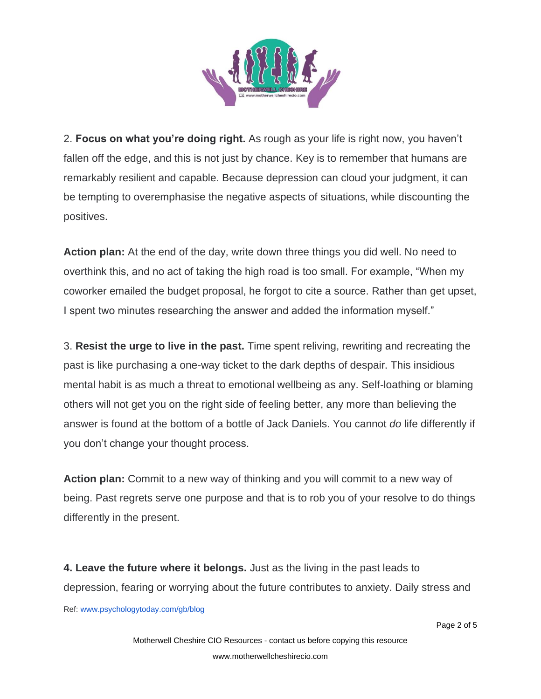

2. **Focus on what you're doing right.** As rough as your life is right now, you haven't fallen off the edge, and this is not just by chance. Key is to remember that humans are remarkably resilient and capable. Because depression can cloud your judgment, it can be tempting to overemphasise the negative aspects of situations, while discounting the positives.

**Action plan:** At the end of the day, write down three things you did well. No need to overthink this, and no act of taking the high road is too small. For example, "When my coworker emailed the budget proposal, he forgot to cite a source. Rather than get upset, I spent two minutes researching the answer and added the information myself."

3. **Resist the urge to live in the past.** Time spent reliving, rewriting and recreating the past is like purchasing a one-way ticket to the dark depths of despair. This insidious mental habit is as much a threat to emotional wellbeing as any. Self-loathing or blaming others will not get you on the right side of feeling better, any more than believing the answer is found at the bottom of a bottle of Jack Daniels. You cannot *do* life differently if you don't change your thought process.

**Action plan:** Commit to a new way of thinking and you will commit to a new way of being. Past regrets serve one purpose and that is to rob you of your resolve to do things differently in the present.

Ref: [www.psychologytoday.com/gb/blog](https://www.psychologytoday.com/gb/blog/anxiety-zen/201605/depression-7-powerful-tips-help-you-overcome-bad-moods) **4. Leave the future where it belongs.** Just as the living in the past leads to depression, fearing or worrying about the future contributes to anxiety. Daily stress and

Page 2 of 5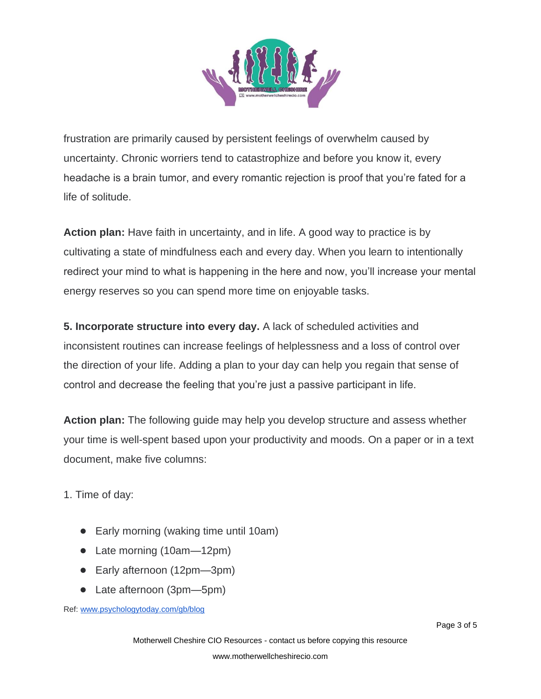

frustration are primarily caused by persistent feelings of overwhelm caused by uncertainty. Chronic worriers tend to catastrophize and before you know it, every headache is a brain tumor, and every romantic rejection is proof that you're fated for a life of solitude.

**Action plan:** Have faith in uncertainty, and in life. A good way to practice is by cultivating a state of mindfulness each and every day. When you learn to intentionally redirect your mind to what is happening in the here and now, you'll increase your mental energy reserves so you can spend more time on enjoyable tasks.

**5. Incorporate structure into every day.** A lack of scheduled activities and inconsistent routines can increase feelings of helplessness and a loss of control over the direction of your life. Adding a plan to your day can help you regain that sense of control and decrease the feeling that you're just a passive participant in life.

**Action plan:** The following guide may help you develop structure and assess whether your time is well-spent based upon your productivity and moods. On a paper or in a text document, make five columns:

1. Time of day:

- Early morning (waking time until 10am)
- Late morning (10am—12pm)
- Early afternoon (12pm—3pm)
- Late afternoon (3pm—5pm)

Ref: [www.psychologytoday.com/gb/blog](https://www.psychologytoday.com/gb/blog/anxiety-zen/201605/depression-7-powerful-tips-help-you-overcome-bad-moods)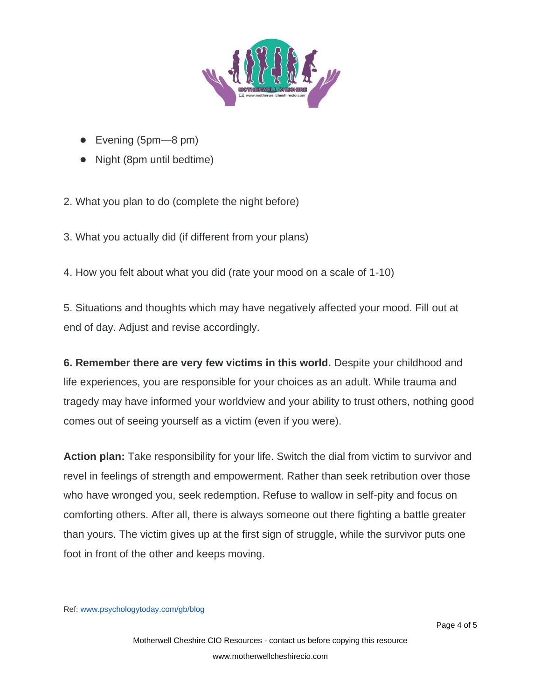

- Evening (5pm—8 pm)
- Night (8pm until bedtime)

2. What you plan to do (complete the night before)

3. What you actually did (if different from your plans)

4. How you felt about what you did (rate your mood on a scale of 1-10)

5. Situations and thoughts which may have negatively affected your mood. Fill out at end of day. Adjust and revise accordingly.

**6. Remember there are very few victims in this world.** Despite your childhood and life experiences, you are responsible for your choices as an adult. While trauma and tragedy may have informed your worldview and your ability to trust others, nothing good comes out of seeing yourself as a victim (even if you were).

**Action plan:** Take responsibility for your life. Switch the dial from victim to survivor and revel in feelings of strength and empowerment. Rather than seek retribution over those who have wronged you, seek redemption. Refuse to wallow in self-pity and focus on comforting others. After all, there is always someone out there fighting a battle greater than yours. The victim gives up at the first sign of struggle, while the survivor puts one foot in front of the other and keeps moving.

Ref: [www.psychologytoday.com/gb/blog](https://www.psychologytoday.com/gb/blog/anxiety-zen/201605/depression-7-powerful-tips-help-you-overcome-bad-moods)